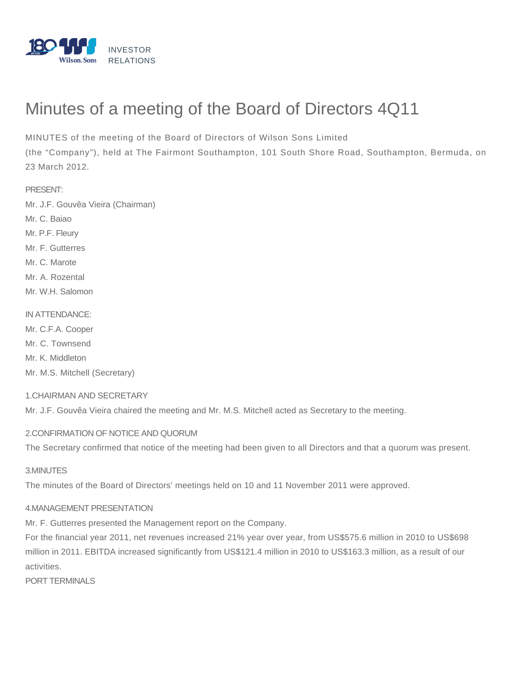

# Minutes of a meeting of the Board of Directors 4Q11

MINUTES of the meeting of the Board of Directors of Wilson Sons Limited

(the "Company"), held at The Fairmont Southampton, 101 South Shore Road, Southampton, Bermuda, on 23 March 2012.

PRESENT:

Mr. J.F. Gouvêa Vieira (Chairman)

Mr. C. Baiao

Mr. P.F. Fleury

Mr. F. Gutterres

Mr. C. Marote

Mr. A. Rozental

Mr. W.H. Salomon

## IN ATTENDANCE:

Mr. C.F.A. Cooper

Mr. C. Townsend

Mr. K. Middleton

Mr. M.S. Mitchell (Secretary)

# 1.CHAIRMAN AND SECRETARY

Mr. J.F. Gouvêa Vieira chaired the meeting and Mr. M.S. Mitchell acted as Secretary to the meeting.

# 2.CONFIRMATION OF NOTICE AND QUORUM

The Secretary confirmed that notice of the meeting had been given to all Directors and that a quorum was present.

## 3.MINUTES

The minutes of the Board of Directors' meetings held on 10 and 11 November 2011 were approved.

# 4.MANAGEMENT PRESENTATION

Mr. F. Gutterres presented the Management report on the Company.

For the financial year 2011, net revenues increased 21% year over year, from US\$575.6 million in 2010 to US\$698 million in 2011. EBITDA increased significantly from US\$121.4 million in 2010 to US\$163.3 million, as a result of our activities.

PORT TERMINALS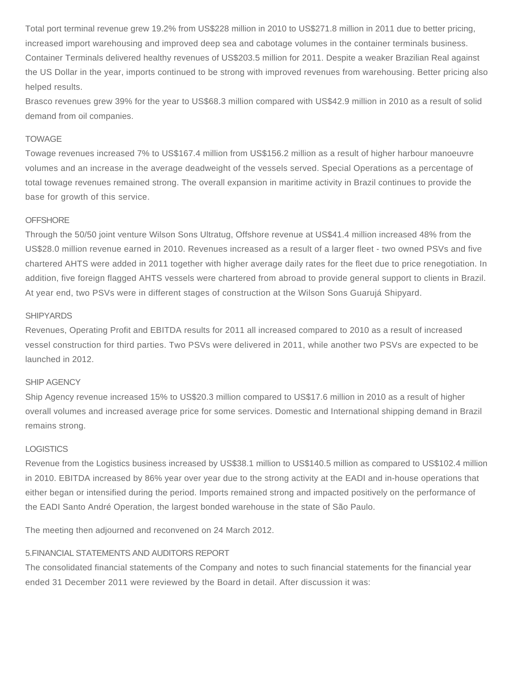Total port terminal revenue grew 19.2% from US\$228 million in 2010 to US\$271.8 million in 2011 due to better pricing, increased import warehousing and improved deep sea and cabotage volumes in the container terminals business. Container Terminals delivered healthy revenues of US\$203.5 million for 2011. Despite a weaker Brazilian Real against the US Dollar in the year, imports continued to be strong with improved revenues from warehousing. Better pricing also helped results.

Brasco revenues grew 39% for the year to US\$68.3 million compared with US\$42.9 million in 2010 as a result of solid demand from oil companies.

## TOWAGE

Towage revenues increased 7% to US\$167.4 million from US\$156.2 million as a result of higher harbour manoeuvre volumes and an increase in the average deadweight of the vessels served. Special Operations as a percentage of total towage revenues remained strong. The overall expansion in maritime activity in Brazil continues to provide the base for growth of this service.

## **OFFSHORE**

Through the 50/50 joint venture Wilson Sons Ultratug, Offshore revenue at US\$41.4 million increased 48% from the US\$28.0 million revenue earned in 2010. Revenues increased as a result of a larger fleet - two owned PSVs and five chartered AHTS were added in 2011 together with higher average daily rates for the fleet due to price renegotiation. In addition, five foreign flagged AHTS vessels were chartered from abroad to provide general support to clients in Brazil. At year end, two PSVs were in different stages of construction at the Wilson Sons Guarujá Shipyard.

## **SHIPYARDS**

Revenues, Operating Profit and EBITDA results for 2011 all increased compared to 2010 as a result of increased vessel construction for third parties. Two PSVs were delivered in 2011, while another two PSVs are expected to be launched in 2012.

## SHIP AGENCY

Ship Agency revenue increased 15% to US\$20.3 million compared to US\$17.6 million in 2010 as a result of higher overall volumes and increased average price for some services. Domestic and International shipping demand in Brazil remains strong.

## **LOGISTICS**

Revenue from the Logistics business increased by US\$38.1 million to US\$140.5 million as compared to US\$102.4 million in 2010. EBITDA increased by 86% year over year due to the strong activity at the EADI and in-house operations that either began or intensified during the period. Imports remained strong and impacted positively on the performance of the EADI Santo André Operation, the largest bonded warehouse in the state of São Paulo.

The meeting then adjourned and reconvened on 24 March 2012.

## 5.FINANCIAL STATEMENTS AND AUDITORS REPORT

The consolidated financial statements of the Company and notes to such financial statements for the financial year ended 31 December 2011 were reviewed by the Board in detail. After discussion it was: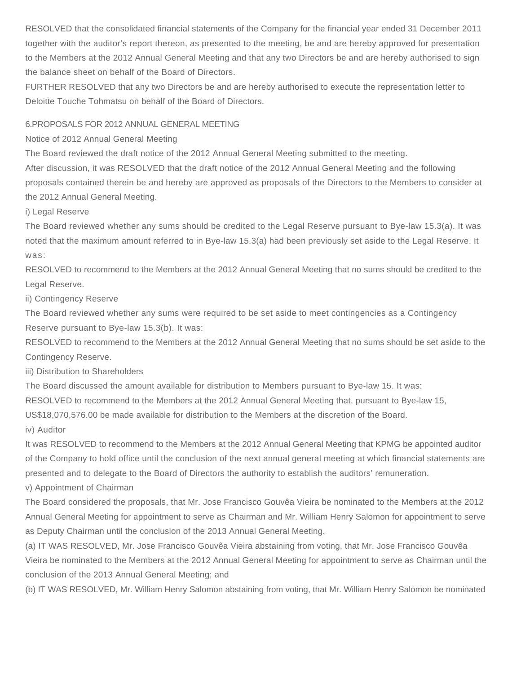RESOLVED that the consolidated financial statements of the Company for the financial year ended 31 December 2011 together with the auditor's report thereon, as presented to the meeting, be and are hereby approved for presentation to the Members at the 2012 Annual General Meeting and that any two Directors be and are hereby authorised to sign the balance sheet on behalf of the Board of Directors.

FURTHER RESOLVED that any two Directors be and are hereby authorised to execute the representation letter to Deloitte Touche Tohmatsu on behalf of the Board of Directors.

## 6.PROPOSALS FOR 2012 ANNUAL GENERAL MEETING

Notice of 2012 Annual General Meeting

The Board reviewed the draft notice of the 2012 Annual General Meeting submitted to the meeting.

After discussion, it was RESOLVED that the draft notice of the 2012 Annual General Meeting and the following proposals contained therein be and hereby are approved as proposals of the Directors to the Members to consider at the 2012 Annual General Meeting.

#### i) Legal Reserve

The Board reviewed whether any sums should be credited to the Legal Reserve pursuant to Bye-law 15.3(a). It was noted that the maximum amount referred to in Bye-law 15.3(a) had been previously set aside to the Legal Reserve. It was:

RESOLVED to recommend to the Members at the 2012 Annual General Meeting that no sums should be credited to the Legal Reserve.

ii) Contingency Reserve

The Board reviewed whether any sums were required to be set aside to meet contingencies as a Contingency Reserve pursuant to Bye-law 15.3(b). It was:

RESOLVED to recommend to the Members at the 2012 Annual General Meeting that no sums should be set aside to the Contingency Reserve.

iii) Distribution to Shareholders

The Board discussed the amount available for distribution to Members pursuant to Bye-law 15. It was:

RESOLVED to recommend to the Members at the 2012 Annual General Meeting that, pursuant to Bye-law 15,

US\$18,070,576.00 be made available for distribution to the Members at the discretion of the Board.

iv) Auditor

It was RESOLVED to recommend to the Members at the 2012 Annual General Meeting that KPMG be appointed auditor of the Company to hold office until the conclusion of the next annual general meeting at which financial statements are presented and to delegate to the Board of Directors the authority to establish the auditors' remuneration.

v) Appointment of Chairman

The Board considered the proposals, that Mr. Jose Francisco Gouvêa Vieira be nominated to the Members at the 2012 Annual General Meeting for appointment to serve as Chairman and Mr. William Henry Salomon for appointment to serve as Deputy Chairman until the conclusion of the 2013 Annual General Meeting.

(a) IT WAS RESOLVED, Mr. Jose Francisco Gouvêa Vieira abstaining from voting, that Mr. Jose Francisco Gouvêa Vieira be nominated to the Members at the 2012 Annual General Meeting for appointment to serve as Chairman until the conclusion of the 2013 Annual General Meeting; and

(b) IT WAS RESOLVED, Mr. William Henry Salomon abstaining from voting, that Mr. William Henry Salomon be nominated